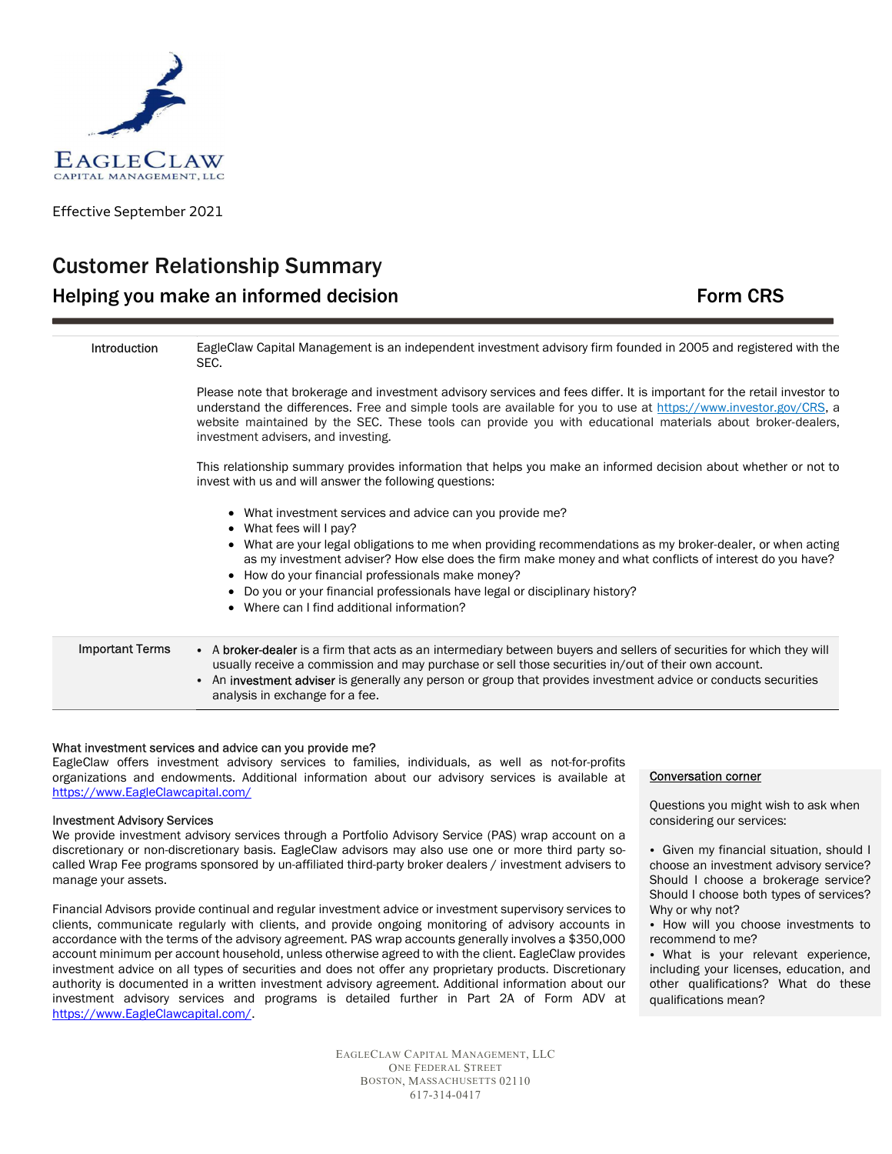

Effective September 2021

# Customer Relationship Summary Helping you make an informed decision **Form CRS** Form CRS

| Introduction           | EagleClaw Capital Management is an independent investment advisory firm founded in 2005 and registered with the<br>SEC.                                                                                                                                                                                                                                                                            |
|------------------------|----------------------------------------------------------------------------------------------------------------------------------------------------------------------------------------------------------------------------------------------------------------------------------------------------------------------------------------------------------------------------------------------------|
|                        | Please note that brokerage and investment advisory services and fees differ. It is important for the retail investor to<br>understand the differences. Free and simple tools are available for you to use at https://www.investor.gov/CRS, a<br>website maintained by the SEC. These tools can provide you with educational materials about broker-dealers,<br>investment advisers, and investing. |
|                        | This relationship summary provides information that helps you make an informed decision about whether or not to<br>invest with us and will answer the following questions:                                                                                                                                                                                                                         |
|                        | • What investment services and advice can you provide me?<br>• What fees will I pay?<br>What are your legal obligations to me when providing recommendations as my broker-dealer, or when acting<br>as my investment adviser? How else does the firm make money and what conflicts of interest do you have?<br>• How do your financial professionals make money?                                   |
|                        | • Do you or your financial professionals have legal or disciplinary history?<br>• Where can I find additional information?                                                                                                                                                                                                                                                                         |
| <b>Important Terms</b> | • A broker-dealer is a firm that acts as an intermediary between buyers and sellers of securities for which they will<br>usually receive a commission and may purchase or sell those securities in/out of their own account.<br>An <b>investment adviser</b> is generally any person or group that provides investment advice or conducts securities<br>analysis in exchange for a fee.            |

# What investment services and advice can you provide me?

EagleClaw offers investment advisory services to families, individuals, as well as not-for-profits organizations and endowments. Additional information about our advisory services is available at https://www.EagleClawcapital.com/

#### Investment Advisory Services

We provide investment advisory services through a Portfolio Advisory Service (PAS) wrap account on a discretionary or non-discretionary basis. EagleClaw advisors may also use one or more third party socalled Wrap Fee programs sponsored by un-affiliated third-party broker dealers / investment advisers to manage your assets.

Financial Advisors provide continual and regular investment advice or investment supervisory services to clients, communicate regularly with clients, and provide ongoing monitoring of advisory accounts in accordance with the terms of the advisory agreement. PAS wrap accounts generally involves a \$350,000 account minimum per account household, unless otherwise agreed to with the client. EagleClaw provides investment advice on all types of securities and does not offer any proprietary products. Discretionary authority is documented in a written investment advisory agreement. Additional information about our investment advisory services and programs is detailed further in Part 2A of Form ADV at https://www.EagleClawcapital.com/.

> EAGLECLAW CAPITAL MANAGEMENT, LLC ONE FEDERAL STREET BOSTON, MASSACHUSETTS 02110 617-314-0417

#### Conversation corner

Questions you might wish to ask when considering our services:

• Given my financial situation, should I choose an investment advisory service? Should I choose a brokerage service? Should I choose both types of services? Why or why not?

• How will you choose investments to recommend to me?

• What is your relevant experience, including your licenses, education, and other qualifications? What do these qualifications mean?